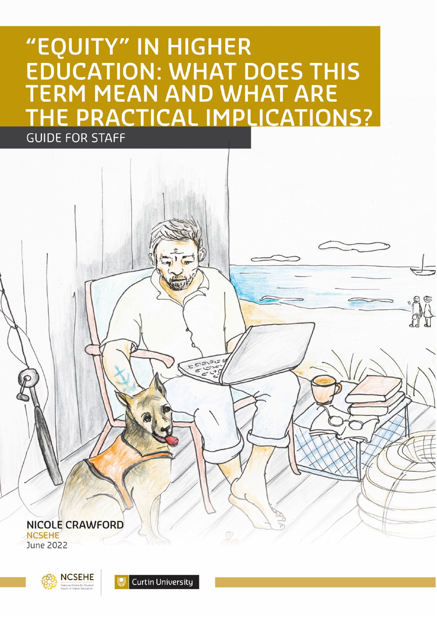# "EQUITY" IN HIGHER **EDUCATION: WHAT DOES THIS** TERM MEAN AND WHAT ARE HE PRACTICAL IMPLICATIONS? **GUIDE FOR STAFF**

ECISI **NICOLE CRAWFORD NCSEHE** 

**June 2022** 



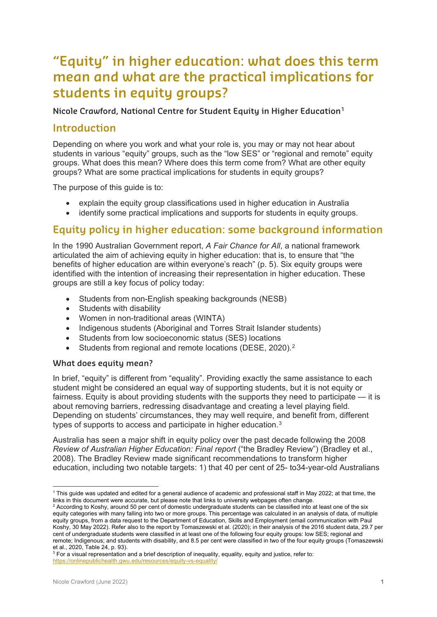# **"Equity" in higher education: what does this term mean and what are the practical implications for students in equity groups?**

**Nicole Crawford, National Centre for Student Equity in Higher Education[1](#page-1-0)**

# **Introduction**

Depending on where you work and what your role is, you may or may not hear about students in various "equity" groups, such as the "low SES" or "regional and remote" equity groups. What does this mean? Where does this term come from? What are other equity groups? What are some practical implications for students in equity groups?

The purpose of this guide is to:

- explain the equity group classifications used in higher education in Australia
- identify some practical implications and supports for students in equity groups.

# **Equity policy in higher education: some background information**

In the 1990 Australian Government report, *A Fair Chance for All*, a national framework articulated the aim of achieving equity in higher education: that is, to ensure that "the benefits of higher education are within everyone's reach" (p. 5). Six equity groups were identified with the intention of increasing their representation in higher education. These groups are still a key focus of policy today:

- Students from non-English speaking backgrounds (NESB)
- Students with disability
- Women in non-traditional areas (WINTA)
- Indigenous students (Aboriginal and Torres Strait Islander students)
- Students from low socioeconomic status (SES) locations
- Students from regional and remote locations (DESE, [2](#page-1-1)020).<sup>2</sup>

#### **What does equity mean?**

In brief, "equity" is different from "equality". Providing exactly the same assistance to each student might be considered an equal way of supporting students, but it is not equity or fairness. Equity is about providing students with the supports they need to participate — it is about removing barriers, redressing disadvantage and creating a level playing field. Depending on students' circumstances, they may well require, and benefit from, different types of supports to access and participate in higher education.[3](#page-1-2)

Australia has seen a major shift in equity policy over the past decade following the 2008 *Review of Australian Higher Education: Final report* ("the Bradley Review") (Bradley et al., 2008). The Bradley Review made significant recommendations to transform higher education, including two notable targets: 1) that 40 per cent of 25- to34-year-old Australians

<span id="page-1-0"></span><sup>1</sup> This guide was updated and edited for a general audience of academic and professional staff in May 2022; at that time, the links in this document were accurate, but please note that links to university webpages often change.

<span id="page-1-1"></span> $2$  According to Koshy, around 50 per cent of domestic undergraduate students can be classified into at least one of the six equity categories with many falling into two or more groups. This percentage was calculated in an analysis of data, of multiple equity groups, from a data request to the Department of Education, Skills and Employment (email communication with Paul Koshy, 30 May 2022). Refer also to the report by Tomaszewski et al. (2020); in their analysis of the 2016 student data, 29.7 per cent of undergraduate students were classified in at least one of the following four equity groups: low SES; regional and remote; Indigenous; and students with disability, and 8.5 per cent were classified in two of the four equity groups (Tomaszewski et al., 2020, Table 24, p. 93).

<span id="page-1-2"></span><sup>3</sup> For a visual representation and a brief description of inequality, equality, equity and justice, refer to: <https://onlinepublichealth.gwu.edu/resources/equity-vs-equality/>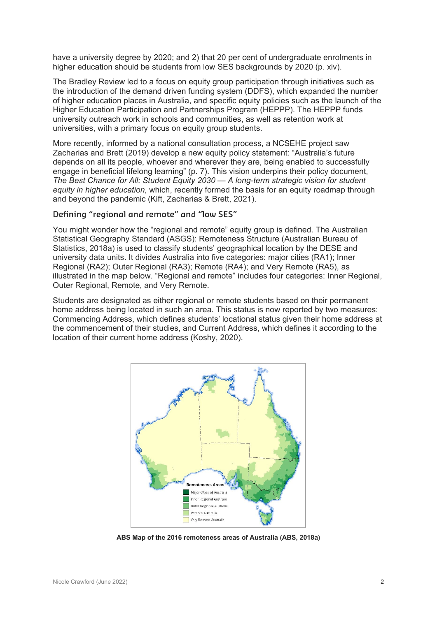have a university degree by 2020; and 2) that 20 per cent of undergraduate enrolments in higher education should be students from low SES backgrounds by 2020 (p. xiv).

The Bradley Review led to a focus on equity group participation through initiatives such as the introduction of the demand driven funding system (DDFS), which expanded the number of higher education places in Australia, and specific equity policies such as the launch of the Higher Education Participation and Partnerships Program (HEPPP). The HEPPP funds university outreach work in schools and communities, as well as retention work at universities, with a primary focus on equity group students.

More recently, informed by a national consultation process, a NCSEHE project saw Zacharias and Brett (2019) develop a new equity policy statement: "Australia's future depends on all its people, whoever and wherever they are, being enabled to successfully engage in beneficial lifelong learning" (p. 7). This vision underpins their policy document, *The Best Chance for All: Student Equity 2030 — A long-term strategic vision for student equity in higher education,* which, recently formed the basis for an equity roadmap through and beyond the pandemic (Kift, Zacharias & Brett, 2021).

#### **Defining "regional and remote" and "low SES"**

You might wonder how the "regional and remote" equity group is defined. The Australian Statistical Geography Standard (ASGS): Remoteness Structure (Australian Bureau of Statistics, 2018a) is used to classify students' geographical location by the DESE and university data units. It divides Australia into five categories: major cities (RA1); Inner Regional (RA2); Outer Regional (RA3); Remote (RA4); and Very Remote (RA5), as illustrated in the map below. "Regional and remote" includes four categories: Inner Regional, Outer Regional, Remote, and Very Remote.

Students are designated as either regional or remote students based on their permanent home address being located in such an area. This status is now reported by two measures: Commencing Address, which defines students' locational status given their home address at the commencement of their studies, and Current Address, which defines it according to the location of their current home address (Koshy, 2020).



**ABS Map of the 2016 remoteness areas of Australia (ABS, 2018a)**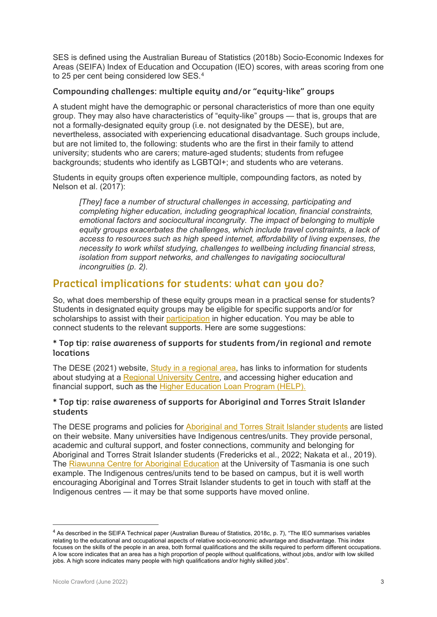SES is defined using the Australian Bureau of Statistics (2018b) Socio-Economic Indexes for Areas (SEIFA) Index of Education and Occupation (IEO) scores, with areas scoring from one to 25 per cent being considered low SES.[4](#page-3-0)

#### **Compounding challenges: multiple equity and/or "equity-like" groups**

A student might have the demographic or personal characteristics of more than one equity group. They may also have characteristics of "equity-like" groups — that is, groups that are not a formally-designated equity group (i.e. not designated by the DESE), but are, nevertheless, associated with experiencing educational disadvantage. Such groups include, but are not limited to, the following: students who are the first in their family to attend university; students who are carers; mature-aged students; students from refugee backgrounds; students who identify as LGBTQI+; and students who are veterans.

Students in equity groups often experience multiple, compounding factors, as noted by Nelson et al. (2017):

*[They] face a number of structural challenges in accessing, participating and completing higher education, including geographical location, financial constraints, emotional factors and sociocultural incongruity. The impact of belonging to multiple equity groups exacerbates the challenges, which include travel constraints, a lack of access to resources such as high speed internet, affordability of living expenses, the necessity to work whilst studying, challenges to wellbeing including financial stress, isolation from support networks, and challenges to navigating sociocultural incongruities (p. 2).*

# **Practical implications for students: what can you do?**

So, what does membership of these equity groups mean in a practical sense for students? Students in designated equity groups may be eligible for specific supports and/or for scholarships to assist with their [participation](https://www.dese.gov.au/access-and-participation) in higher education. You may be able to connect students to the relevant supports. Here are some suggestions:

#### **\* Top tip: raise awareness of supports for students from/in regional and remote locations**

The DESE (2021) website, [Study in a regional area,](https://www.dese.gov.au/higher-education/study-regional-area) has links to information for students about studying at a [Regional University Centre,](https://www.dese.gov.au/regional-university-centres) and accessing higher education and financial support, such as the [Higher Education Loan Program \(HELP\).](https://www.dese.gov.au/higher-education-loan-program)

#### **\* Top tip: raise awareness of supports for Aboriginal and Torres Strait Islander students**

The DESE programs and policies for [Aboriginal and Torres Strait Islander students](https://www.dese.gov.au/aboriginal-and-torres-strait-islander-higher-education) are listed on their website. Many universities have Indigenous centres/units. They provide personal, academic and cultural support, and foster connections, community and belonging for Aboriginal and Torres Strait Islander students (Fredericks et al., 2022; Nakata et al., 2019). The [Riawunna Centre for Aboriginal Education](https://www.utas.edu.au/riawunna) at the University of Tasmania is one such example. The Indigenous centres/units tend to be based on campus, but it is well worth encouraging Aboriginal and Torres Strait Islander students to get in touch with staff at the Indigenous centres — it may be that some supports have moved online.

<span id="page-3-0"></span><sup>4</sup> As described in the SEIFA Technical paper (Australian Bureau of Statistics, 2018c, p. 7), "The IEO summarises variables relating to the educational and occupational aspects of relative socio-economic advantage and disadvantage. This index focuses on the skills of the people in an area, both formal qualifications and the skills required to perform different occupations. A low score indicates that an area has a high proportion of people without qualifications, without jobs, and/or with low skilled jobs. A high score indicates many people with high qualifications and/or highly skilled jobs".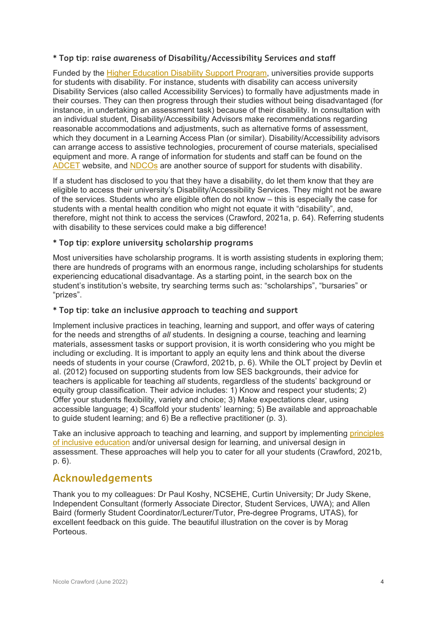#### **\* Top tip: raise awareness of Disability/Accessibility Services and staff**

Funded by the [Higher Education Disability Support Program,](https://www.dese.gov.au/higher-education-disability-support-program) universities provide supports for students with disability. For instance, students with disability can access university Disability Services (also called Accessibility Services) to formally have adjustments made in their courses. They can then progress through their studies without being disadvantaged (for instance, in undertaking an assessment task) because of their disability. In consultation with an individual student, Disability/Accessibility Advisors make recommendations regarding reasonable accommodations and adjustments, such as alternative forms of assessment, which they document in a Learning Access Plan (or similar). Disability/Accessibility advisors can arrange access to assistive technologies, procurement of course materials, specialised equipment and more. A range of information for students and staff can be found on the [ADCET](https://www.adcet.edu.au/) website, and [NDCOs](https://www.dese.gov.au/access-and-participation/ndco) are another source of support for students with disability.

If a student has disclosed to you that they have a disability, do let them know that they are eligible to access their university's Disability/Accessibility Services. They might not be aware of the services. Students who are eligible often do not know – this is especially the case for students with a mental health condition who might not equate it with "disability", and, therefore, might not think to access the services (Crawford, 2021a, p. 64). Referring students with disability to these services could make a big difference!

#### **\* Top tip: explore university scholarship programs**

Most universities have scholarship programs. It is worth assisting students in exploring them; there are hundreds of programs with an enormous range, including scholarships for students experiencing educational disadvantage. As a starting point, in the search box on the student's institution's website, try searching terms such as: "scholarships", "bursaries" or "prizes".

#### **\* Top tip: take an inclusive approach to teaching and support**

Implement inclusive practices in teaching, learning and support, and offer ways of catering for the needs and strengths of *all* students. In designing a course, teaching and learning materials, assessment tasks or support provision, it is worth considering who you might be including or excluding. It is important to apply an equity lens and think about the diverse needs of students in your course (Crawford, 2021b, p. 6). While the OLT project by Devlin et al. (2012) focused on supporting students from low SES backgrounds, their advice for teachers is applicable for teaching *all* students, regardless of the students' background or equity group classification. Their advice includes: 1) Know and respect your students; 2) Offer your students flexibility, variety and choice; 3) Make expectations clear, using accessible language; 4) Scaffold your students' learning; 5) Be available and approachable to guide student learning; and 6) Be a reflective practitioner (p. 3).

Take an inclusive approach to teaching and learning, and support by implementing [principles](https://blogs.deakin.edu.au/iccb/toolkit/what-and-why/principles-inclusive-education/)  [of inclusive education](https://blogs.deakin.edu.au/iccb/toolkit/what-and-why/principles-inclusive-education/) and/or universal design for learning, and universal design in assessment. These approaches will help you to cater for all your students (Crawford, 2021b, p. 6).

### **Acknowledgements**

Thank you to my colleagues: Dr Paul Koshy, NCSEHE, Curtin University; Dr Judy Skene, Independent Consultant (formerly Associate Director, Student Services, UWA); and Allen Baird (formerly Student Coordinator/Lecturer/Tutor, Pre-degree Programs, UTAS), for excellent feedback on this guide. The beautiful illustration on the cover is by Morag Porteous.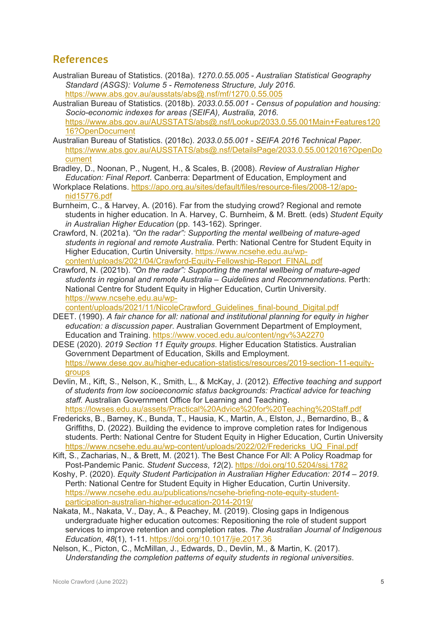## **References**

- Australian Bureau of Statistics. (2018a). *1270.0.55.005 - Australian Statistical Geography Standard (ASGS): Volume 5 - Remoteness Structure, July 2016.* <https://www.abs.gov.au/ausstats/abs@.nsf/mf/1270.0.55.005>
- Australian Bureau of Statistics. (2018b). *2033.0.55.001 - Census of population and housing: Socio-economic indexes for areas (SEIFA), Australia, 2016*. [https://www.abs.gov.au/AUSSTATS/abs@.nsf/Lookup/2033.0.55.001Main+Features120](https://www.abs.gov.au/AUSSTATS/abs@.nsf/Lookup/2033.0.55.001Main+Features12016?OpenDocument) [16?OpenDocument](https://www.abs.gov.au/AUSSTATS/abs@.nsf/Lookup/2033.0.55.001Main+Features12016?OpenDocument)
- Australian Bureau of Statistics. (2018c). *2033.0.55.001 - SEIFA 2016 Technical Paper.* [https://www.abs.gov.au/AUSSTATS/abs@.nsf/DetailsPage/2033.0.55.0012016?OpenDo](https://www.abs.gov.au/AUSSTATS/abs@.nsf/DetailsPage/2033.0.55.0012016?OpenDocument) [cument](https://www.abs.gov.au/AUSSTATS/abs@.nsf/DetailsPage/2033.0.55.0012016?OpenDocument)
- Bradley, D., Noonan, P., Nugent, H., & Scales, B. (2008). *Review of Australian Higher Education: Final Report*. Canberra: Department of Education, Employment and
- Workplace Relations. [https://apo.org.au/sites/default/files/resource-files/2008-12/apo](https://apo.org.au/sites/default/files/resource-files/2008-12/apo-nid15776.pdf)[nid15776.pdf](https://apo.org.au/sites/default/files/resource-files/2008-12/apo-nid15776.pdf)
- Burnheim, C., & Harvey, A. (2016). Far from the studying crowd? Regional and remote students in higher education. In A. Harvey, C. Burnheim, & M. Brett. (eds) *Student Equity in Australian Higher Education* (pp. 143-162). Springer.
- Crawford, N. (2021a). *"On the radar": Supporting the mental wellbeing of mature-aged students in regional and remote Australia*. Perth: National Centre for Student Equity in Higher Education, Curtin University. [https://www.ncsehe.edu.au/wp](https://www.ncsehe.edu.au/wp-content/uploads/2021/04/Crawford-Equity-Fellowship-Report_FINAL.pdf)[content/uploads/2021/04/Crawford-Equity-Fellowship-Report\\_FINAL.pdf](https://www.ncsehe.edu.au/wp-content/uploads/2021/04/Crawford-Equity-Fellowship-Report_FINAL.pdf)
- Crawford, N. (2021b). *"On the radar": Supporting the mental wellbeing of mature-aged students in regional and remote Australia – Guidelines and Recommendations.* Perth: National Centre for Student Equity in Higher Education, Curtin University. [https://www.ncsehe.edu.au/wp-](https://www.ncsehe.edu.au/wp-content/uploads/2021/11/NicoleCrawford_Guidelines_final-bound_Digital.pdf)

[content/uploads/2021/11/NicoleCrawford\\_Guidelines\\_final-bound\\_Digital.pdf](https://www.ncsehe.edu.au/wp-content/uploads/2021/11/NicoleCrawford_Guidelines_final-bound_Digital.pdf) 

- DEET. (1990). *A fair chance for all: national and institutional planning for equity in higher education: a discussion paper*. Australian Government Department of Employment, Education and Training.<https://www.voced.edu.au/content/ngv%3A2270>
- DESE (2020). *2019 Section 11 Equity groups*. Higher Education Statistics. Australian Government Department of Education, Skills and Employment. [https://www.dese.gov.au/higher-education-statistics/resources/2019-section-11-equity](https://www.dese.gov.au/higher-education-statistics/resources/2019-section-11-equity-groups)[groups](https://www.dese.gov.au/higher-education-statistics/resources/2019-section-11-equity-groups)
- Devlin, M., Kift, S., Nelson, K., Smith, L., & McKay, J. (2012). *Effective teaching and support of students from low socioeconomic status backgrounds: Practical advice for teaching staff.* Australian Government Office for Learning and Teaching. <https://lowses.edu.au/assets/Practical%20Advice%20for%20Teaching%20Staff.pdf>
- Fredericks, B., Barney, K., Bunda, T., Hausia, K., Martin, A., Elston, J., Bernardino, B., & Griffiths, D. (2022). Building the evidence to improve completion rates for Indigenous students. Perth: National Centre for Student Equity in Higher Education, Curtin University [https://www.ncsehe.edu.au/wp-content/uploads/2022/02/Fredericks\\_UQ\\_Final.pdf](https://www.ncsehe.edu.au/wp-content/uploads/2022/02/Fredericks_UQ_Final.pdf)
- Kift, S., Zacharias, N., & Brett, M. (2021). The Best Chance For All: A Policy Roadmap for Post-Pandemic Panic. *Student Success*, *12*(2).<https://doi.org/10.5204/ssj.1782>
- Koshy, P. (2020). *Equity Student Participation in Australian Higher Education: 2014 – 2019*. Perth: National Centre for Student Equity in Higher Education, Curtin University. [https://www.ncsehe.edu.au/publications/ncsehe-briefing-note-equity-student](https://www.ncsehe.edu.au/publications/ncsehe-briefing-note-equity-student-participation-australian-higher-education-2014-2019/)[participation-australian-higher-education-2014-2019/](https://www.ncsehe.edu.au/publications/ncsehe-briefing-note-equity-student-participation-australian-higher-education-2014-2019/)
- Nakata, M., Nakata, V., Day, A., & Peachey, M. (2019). Closing gaps in Indigenous undergraduate higher education outcomes: Repositioning the role of student support services to improve retention and completion rates. *The Australian Journal of Indigenous Education*, *48*(1), 1-11.<https://doi.org/10.1017/jie.2017.36>
- Nelson, K., Picton, C., McMillan, J., Edwards, D., Devlin, M., & Martin, K. (2017). *Understanding the completion patterns of equity students in regional universities*.